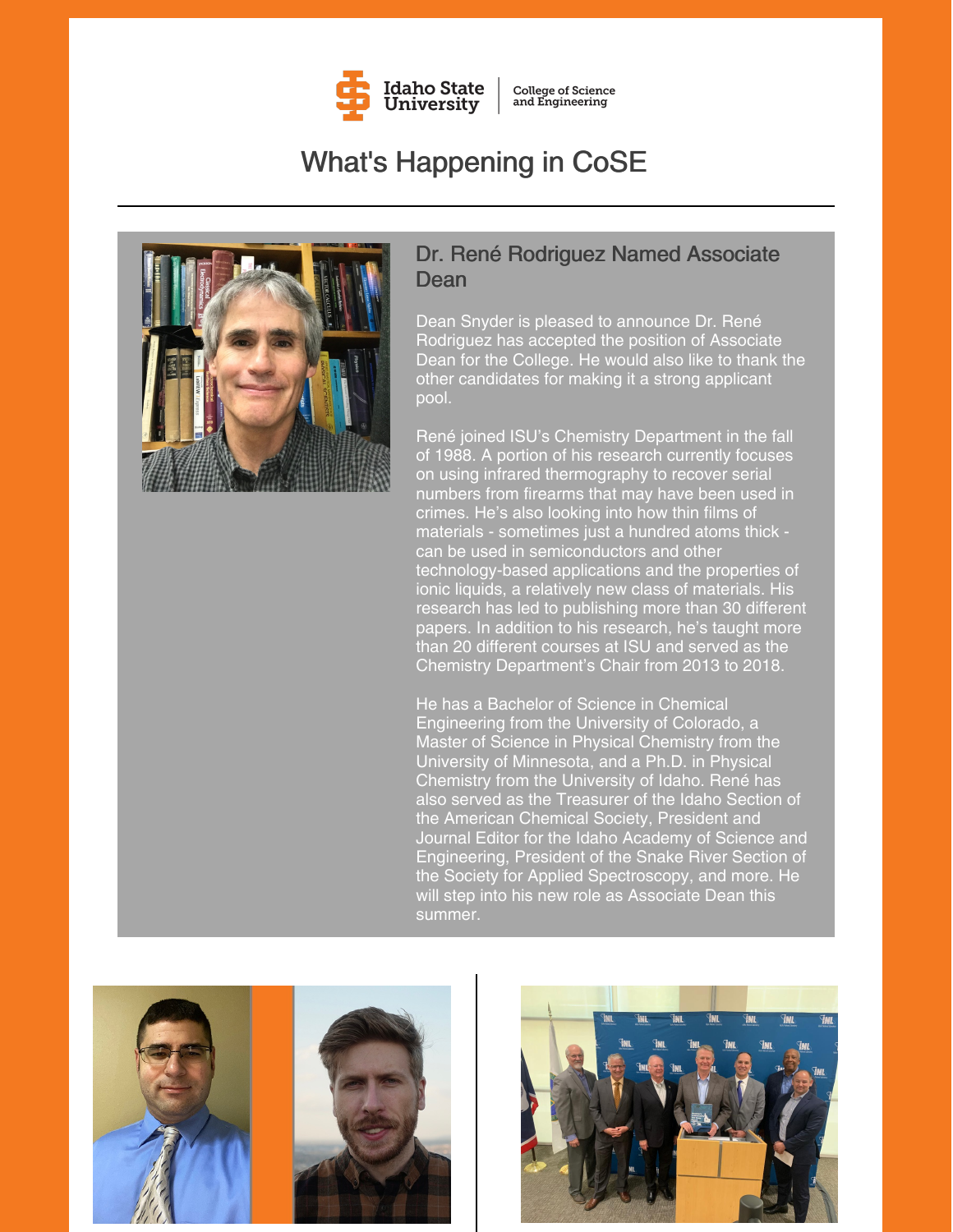

**College of Science** and Engineering

# What's Happening in CoSE



#### Dr. René Rodriguez Named Associate Dean

Dean Snyder is pleased to announce Dr. René Rodriguez has accepted the position of Associate Dean for the College. He would also like to thank the other candidates for making it a strong applicant pool.

René joined ISU's Chemistry Department in the fall of 1988. A portion of his research currently focuses on using infrared thermography to recover serial numbers from firearms that may have been used in crimes. He's also looking into how thin films of materials - sometimes just a hundred atoms thick can be used in semiconductors and other technology-based applications and the properties of ionic liquids, a relatively new class of materials. His research has led to publishing more than 30 different papers. In addition to his research, he's taught more than 20 different courses at ISU and served as the Chemistry Department's Chair from 2013 to 2018.

He has a Bachelor of Science in Chemical Engineering from the University of Colorado, a Master of Science in Physical Chemistry from the University of Minnesota, and a Ph.D. in Physical Chemistry from the University of Idaho. René has also served as the Treasurer of the Idaho Section of the American Chemical Society, President and Journal Editor for the Idaho Academy of Science and Engineering, President of the Snake River Section of the Society for Applied Spectroscopy, and more. He will step into his new role as Associate Dean this summer.



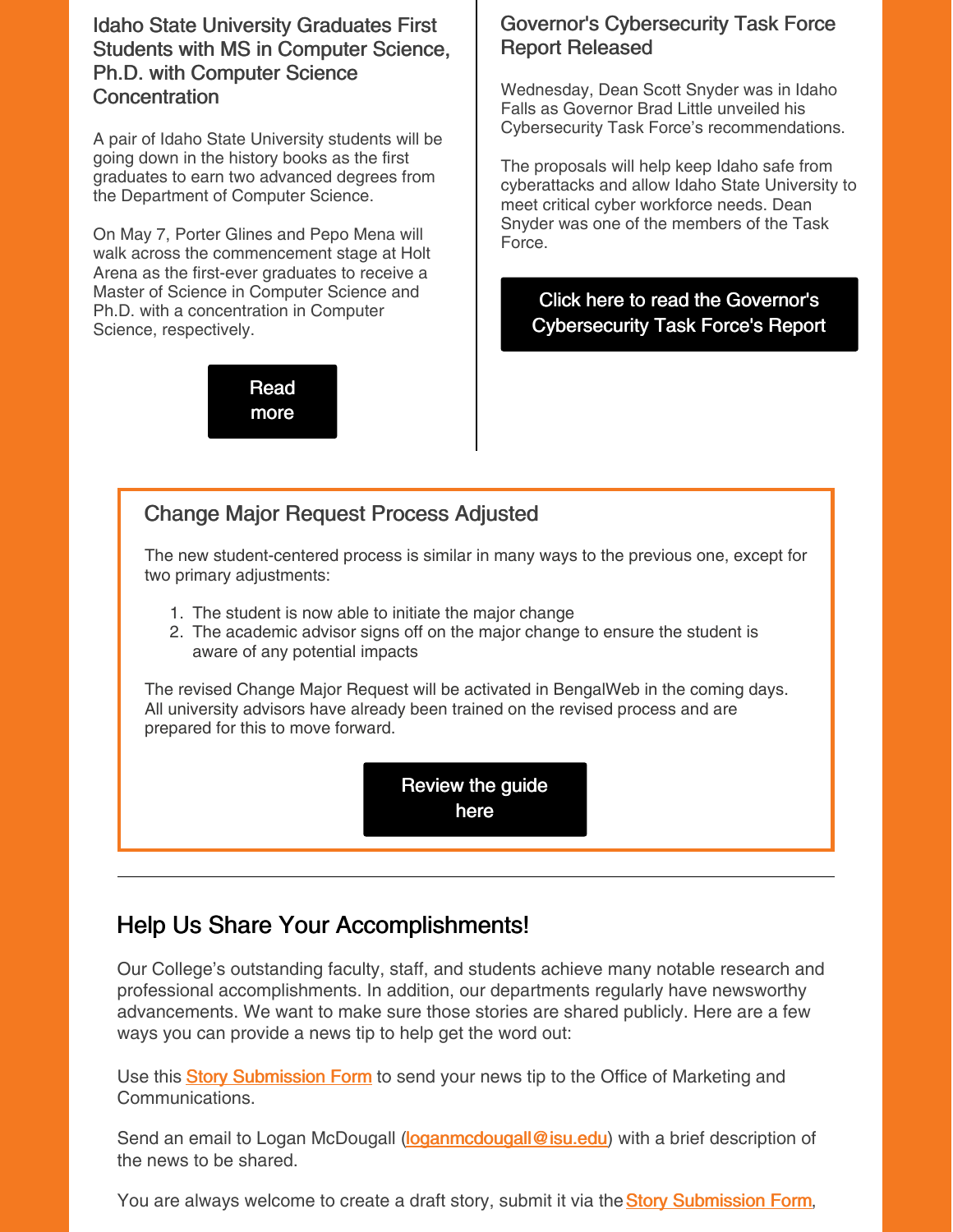Idaho State University Graduates First Students with MS in Computer Science, Ph.D. with Computer Science **Concentration** 

A pair of Idaho State University students will be going down in the history books as the first graduates to earn two advanced degrees from the Department of Computer Science.

On May 7, Porter Glines and Pepo Mena will walk across the commencement stage at Holt Arena as the first-ever graduates to receive a Master of Science in Computer Science and Ph.D. with a concentration in Computer Science, respectively.

> [Read](https://www.isu.edu/news/2022-spring/idaho-state-university-graduates-first-students-with-ms-in-computer-science-phd-with-computer-science-concentration.html) more

#### Governor's Cybersecurity Task Force Report Released

Wednesday, Dean Scott Snyder was in Idaho Falls as Governor Brad Little unveiled his Cybersecurity Task Force's recommendations.

The proposals will help keep Idaho safe from cyberattacks and allow Idaho State University to meet critical cyber workforce needs. Dean Snyder was one of the members of the Task Force.

Click here to read the Governor's [Cybersecurity](https://gov.idaho.gov/wp-content/uploads/2022/05/2022-cybersecurity-tf-recommendations.pdf) Task Force's Report

#### Change Major Request Process Adjusted

The new student-centered process is similar in many ways to the previous one, except for two primary adjustments:

- 1. The student is now able to initiate the major change
- 2. The academic advisor signs off on the major change to ensure the student is aware of any potential impacts

The revised Change Major Request will be activated in BengalWeb in the coming days. All university advisors have already been trained on the revised process and are prepared for this to move forward.

> [Review](https://drive.google.com/file/d/1220pZKznlli-A_tmSJCUHimXguWmverm/view?usp=sharing) the guide here

### Help Us Share Your Accomplishments!

Our College's outstanding faculty, staff, and students achieve many notable research and professional accomplishments. In addition, our departments regularly have newsworthy advancements. We want to make sure those stories are shared publicly. Here are a few ways you can provide a news tip to help get the word out:

U[s](https://www.isu.edu/news/story-form/)e this **Story [Submission](https://www.isu.edu/news/story-form/) Form** to send your news tip to the Office of Marketing and Communications.

Send an email to Logan McDougall [\(loganmcdougall@isu.edu](mailto:loganmcdougall@isu.edu)) with a brief description of the news to be shared.

You ar[e](https://www.isu.edu/news/story-form/) always welcome to create a draft story, submit it via the **Story [Submission](https://www.isu.edu/news/story-form/) Form**,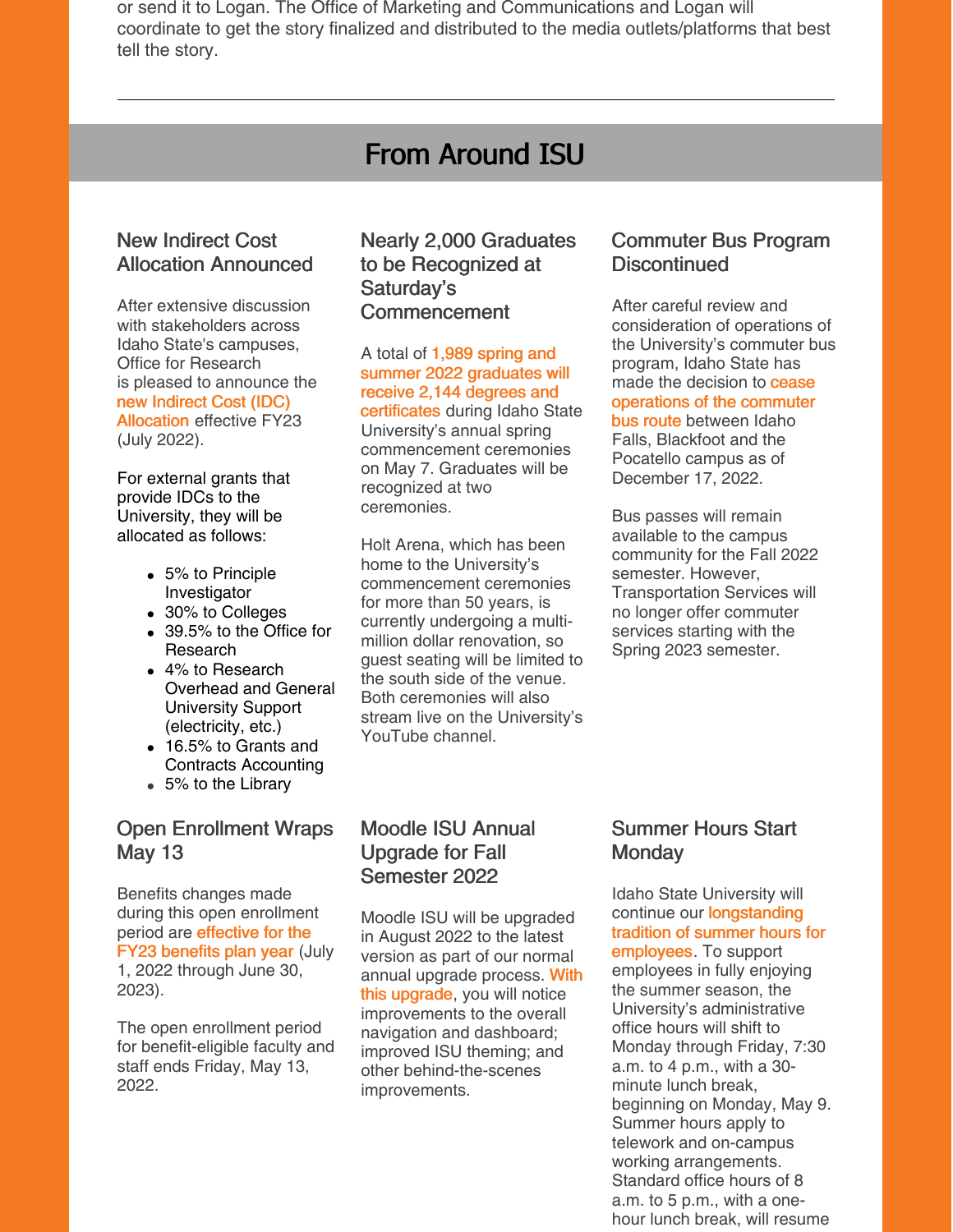or send it to Logan. The Office of Marketing and Communications and Logan will coordinate to get the story finalized and distributed to the media outlets/platforms that best tell the story.

### From Around ISU

#### New Indirect Cost Allocation Announced

After extensive discussion with stakeholders across Idaho State's campuses, Office for Research is pleased to announce the new Indirect Cost (IDC) [Allocation](https://myemail.constantcontact.com/New-Indirect-Cost-Allocation.html?soid=1127399030149&aid=oTU0gVHvzDc) effective FY23 (July 2022).

For external grants that provide IDCs to the University, they will be allocated as follows:

- 5% to Principle Investigator
- 30% to Colleges
- 39.5% to the Office for Research
- 4% to Research Overhead and General University Support (electricity, etc.)
- 16.5% to Grants and Contracts Accounting
- 5% to the Library

#### Open Enrollment Wraps May 13

Benefits changes made during this open enrollment period are [effective](https://myemail.constantcontact.com/Open-Enrollment-Begins-Today.html?soid=1127399030149&aid=kfaaN8n1VxY) for the FY23 benefits plan year (July 1, 2022 through June 30, 2023).

The open enrollment period for benefit-eligible faculty and staff ends Friday, May 13, 2022.

#### Nearly 2,000 Graduates to be Recognized at Saturday's Commencement

A total of 1,989 spring and summer 2022 graduates will receive 2,144 degrees and [certificates](https://myemail.constantcontact.com/NEWS-RELEASE--Nearly-2-000-Graduates-to-be-Recognized-at-Saturday-s-Commencement.html?soid=1127399030149&aid=JxqsWs9nFPA) during Idaho State University's annual spring commencement ceremonies on May 7. Graduates will be recognized at two ceremonies.

Holt Arena, which has been home to the University's commencement ceremonies for more than 50 years, is currently undergoing a multimillion dollar renovation, so guest seating will be limited to the south side of the venue. Both ceremonies will also stream live on the University's YouTube channel.

#### Commuter Bus Program **Discontinued**

After careful review and consideration of operations of the University's commuter bus program, Idaho State has made the decision to **cease** [operations](https://www.isu.edu/news/2022-spring/discontinuation-of-the-commuter-bus-program.html) of the commuter bus route between Idaho Falls, Blackfoot and the Pocatello campus as of December 17, 2022.

Bus passes will remain available to the campus community for the Fall 2022 semester. However, Transportation Services will no longer offer commuter services starting with the Spring 2023 semester.

#### Moodle ISU Annual Upgrade for Fall Semester 2022

Moodle ISU will be upgraded in August 2022 to the latest version as part of our normal annual upgrade process. With this [upgrade,](https://www.isu.edu/news/2022-spring/moodle-isu-annual-upgrade-for-fall-semester-2022.html) you will notice improvements to the overall navigation and dashboard; improved ISU theming; and other behind-the-scenes improvements.

#### Summer Hours Start **Monday**

Idaho State University will continue our **[longstanding](https://myemail.constantcontact.com/Summer-Hours-to-Start-Monday--May-9.html?soid=1127399030149&aid=taa__0KL_dw)** tradition of summer hours for employees. To support employees in fully enjoying the summer season, the University's administrative office hours will shift to Monday through Friday, 7:30 a.m. to 4 p.m., with a 30 minute lunch break, beginning on Monday, May 9. Summer hours apply to telework and on-campus working arrangements. Standard office hours of 8 a.m. to 5 p.m., with a onehour lunch break, will resume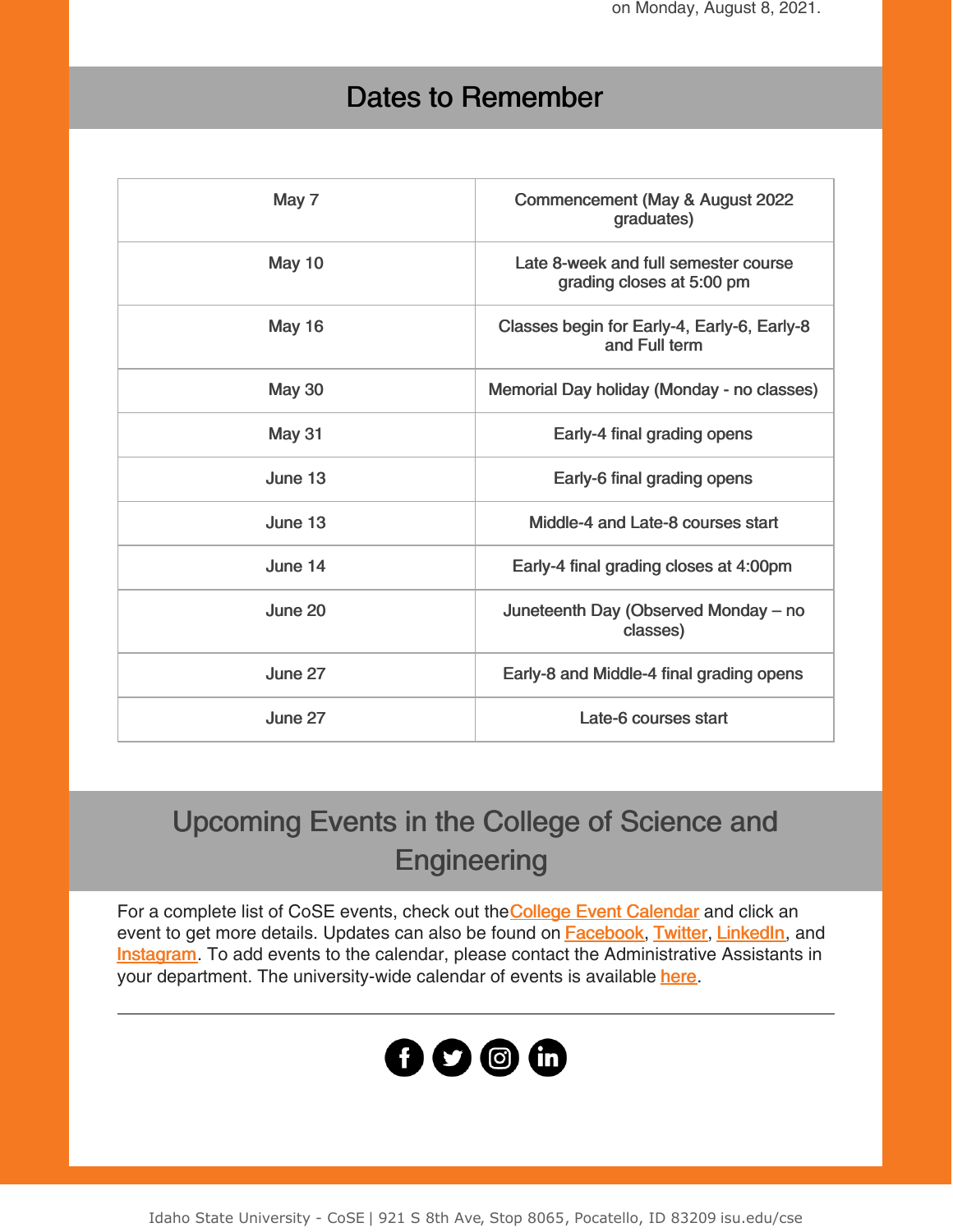on Monday, August 8, 2021.

## Dates to Remember

| May 7         | Commencement (May & August 2022<br>graduates)                     |
|---------------|-------------------------------------------------------------------|
| <b>May 10</b> | Late 8-week and full semester course<br>grading closes at 5:00 pm |
| <b>May 16</b> | Classes begin for Early-4, Early-6, Early-8<br>and Full term      |
| <b>May 30</b> | Memorial Day holiday (Monday - no classes)                        |
| May 31        | Early-4 final grading opens                                       |
| June 13       | Early-6 final grading opens                                       |
| June 13       | Middle-4 and Late-8 courses start                                 |
| June 14       | Early-4 final grading closes at 4:00pm                            |
| June 20       | Juneteenth Day (Observed Monday – no<br>classes)                  |
| June 27       | Early-8 and Middle-4 final grading opens                          |
| June 27       | Late-6 courses start                                              |
|               |                                                                   |

# Upcoming Events in the College of Science and **Engineering**

For a compl[e](https://isu.edu/cse/calendar/)te list of CoSE events, check out the College Event [Calendar](https://isu.edu/cse/calendar/) and click an event to get more details. Updates can also be found on **[Facebook](https://www.facebook.com/IdahoStateUCoSE)**, [Twitter](https://twitter.com/IdahoStateUCoSE), [LinkedIn](https://www.linkedin.com/company/idaho-state-university-college-of-science-and-engineering), and **[Instagram](https://www.instagram.com/idahostateucose/)**. To add events to the calendar, please contact the Administrative Assistants in your department. The university-wide calendar of events is available [here](https://www.isu.edu/calendar/).



Idaho State University - CoSE | 921 S 8th Ave, Stop 8065, Pocatello, ID 83209 isu.edu/cse